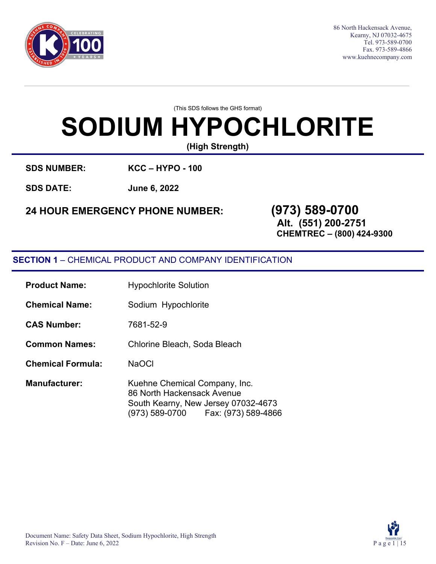

86 North Hackensack Avenue, Kearny, NJ 07032-4675 Tel. 973-589-0700 Fax. 973-589-4866 [www.kuehnecompany.com](http://www.kuehnecompany.com/)

(This SDS follows the GHS format)

# **SODIUM HYPOCHLORITE**

**(High Strength)**

**SDS NUMBER: KCC – HYPO - 100**

**SDS DATE: June 6, 2022**

# **24 HOUR EMERGENCY PHONE NUMBER: (973) 589-0700**

**Alt. (551) 200-2751**

**CHEMTREC – (800) 424-9300**

### **SECTION 1** – CHEMICAL PRODUCT AND COMPANY IDENTIFICATION

| <b>Product Name:</b>     | <b>Hypochlorite Solution</b>                                                                                                                |  |
|--------------------------|---------------------------------------------------------------------------------------------------------------------------------------------|--|
| <b>Chemical Name:</b>    | Sodium Hypochlorite                                                                                                                         |  |
| <b>CAS Number:</b>       | 7681-52-9                                                                                                                                   |  |
| <b>Common Names:</b>     | Chlorine Bleach, Soda Bleach                                                                                                                |  |
| <b>Chemical Formula:</b> | <b>NaOCI</b>                                                                                                                                |  |
| <b>Manufacturer:</b>     | Kuehne Chemical Company, Inc.<br>86 North Hackensack Avenue<br>South Kearny, New Jersey 07032-4673<br>(973) 589-0700    Fax: (973) 589-4866 |  |

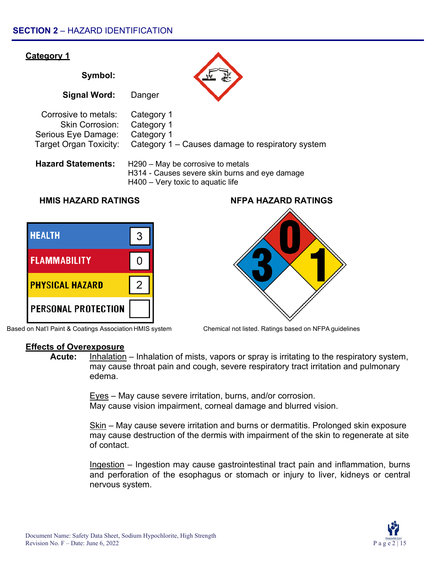

#### **Effects of Overexposure**

**PERSONAL PROTECTION** 

**PHYSICAL HAZARD** 

**Acute:** Inhalation – Inhalation of mists, vapors or spray is irritating to the respiratory system, may cause throat pain and cough, severe respiratory tract irritation and pulmonary edema.

> Eyes – May cause severe irritation, burns, and/or corrosion. May cause vision impairment, corneal damage and blurred vision.

Based on Nat'l Paint & Coatings Association HMIS system Chemical not listed. Ratings based on NFPA guidelines

 $\overline{2}$ 

Skin – May cause severe irritation and burns or dermatitis. Prolonged skin exposure may cause destruction of the dermis with impairment of the skin to regenerate at site of contact.

Ingestion – Ingestion may cause gastrointestinal tract pain and inflammation, burns and perforation of the esophagus or stomach or injury to liver, kidneys or central nervous system.

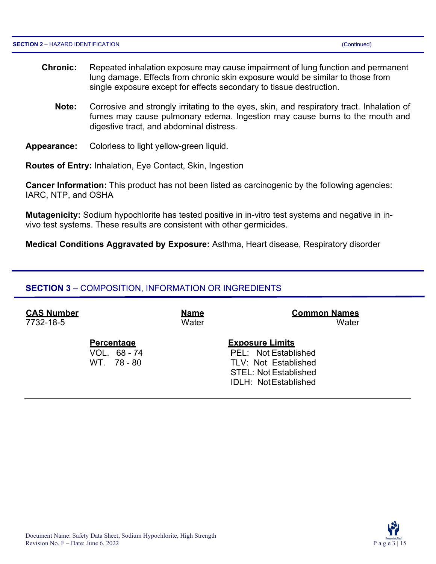- **Chronic:** Repeated inhalation exposure may cause impairment of lung function and permanent lung damage. Effects from chronic skin exposure would be similar to those from single exposure except for effects secondary to tissue destruction.
	- **Note:** Corrosive and strongly irritating to the eyes, skin, and respiratory tract. Inhalation of fumes may cause pulmonary edema. Ingestion may cause burns to the mouth and digestive tract, and abdominal distress.
- **Appearance:** Colorless to light yellow-green liquid.

**Routes of Entry:** Inhalation, Eye Contact, Skin, Ingestion

**Cancer Information:** This product has not been listed as carcinogenic by the following agencies: IARC, NTP, and OSHA

**Mutagenicity:** Sodium hypochlorite has tested positive in in-vitro test systems and negative in invivo test systems. These results are consistent with other germicides.

**Medical Conditions Aggravated by Exposure:** Asthma, Heart disease, Respiratory disorder

#### **SECTION 3** – COMPOSITION, INFORMATION OR INGREDIENTS

| <b>CAS Number</b> |                                                  | <b>Name</b> | <b>Common Names</b>                                                                                                                    |
|-------------------|--------------------------------------------------|-------------|----------------------------------------------------------------------------------------------------------------------------------------|
| 7732-18-5         |                                                  | Water       | Water                                                                                                                                  |
|                   | <b>Percentage</b><br>VOL. 68 - 74<br>WT. 78 - 80 |             | <b>Exposure Limits</b><br>PEL: Not Established<br>TLV: Not Established<br><b>STEL: Not Established</b><br><b>IDLH: Not Established</b> |

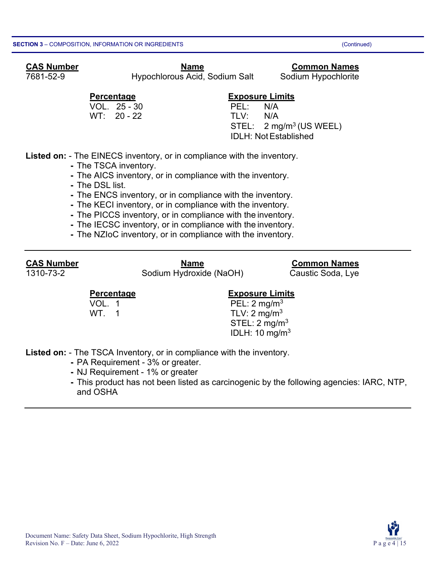VOL. 25 - 30 PEL: N/A  $WT: 20 - 22$ 

### **Percentage Exposure Limits**

 $STEL: 2 mg/m<sup>3</sup> (US WELL)$ IDLH: NotEstablished

**Listed on:** - The EINECS inventory, or in compliance with the inventory.

- **-** The TSCA inventory.
- **-** The AICS inventory, or in compliance with the inventory.
- **-** The DSL list.
- **-** The ENCS inventory, or in compliance with the inventory.
- **-** The KECI inventory, or in compliance with the inventory.
- **-** The PICCS inventory, or in compliance with the inventory.
- **-** The IECSC inventory, or in compliance with the inventory.
- **-** The NZIoC inventory, or in compliance with the inventory.

**CAS Number Name Common Names** Sodium Hydroxide (NaOH) Caustic Soda, Lye

### **Percentage Construction Exposure Limits**

VOL. 1 **PEL:**  $2 \text{ mg/m}^3$ WT.  $1$  TLV:  $2 \text{ mg/m}^3$  $STEL: 2 mg/m<sup>3</sup>$ IDLH: 10 mg/m3

**Listed on:** - The TSCA Inventory, or in compliance with the inventory.

- **-** PA Requirement 3% or greater.
- **-** NJ Requirement 1% or greater
- **-** This product has not been listed as carcinogenic by the following agencies: IARC, NTP, and OSHA



**CAS Number Name Common Names**

7681-52-9 Hypochlorous Acid, Sodium Salt Sodium Hypochlorite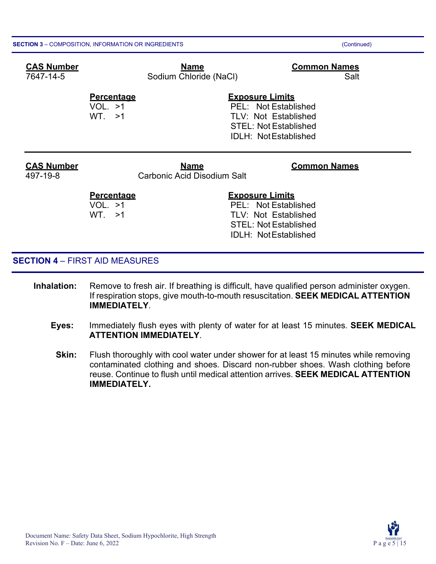| <b>CAS Number</b><br>7647-14-5 | <b>Name</b><br>Sodium Chloride (NaCl)             | <b>Common Names</b><br>Salt                                                                                                           |
|--------------------------------|---------------------------------------------------|---------------------------------------------------------------------------------------------------------------------------------------|
|                                | <b>Percentage</b><br>VOL. >1<br>WT. >1            | <b>Exposure Limits</b><br>PEL: Not Established<br>TLV: Not Established<br><b>STEL: Not Established</b><br><b>IDLH: NotEstablished</b> |
| <b>CAS Number</b><br>497-19-8  | <b>Name</b><br><b>Carbonic Acid Disodium Salt</b> | <b>Common Names</b>                                                                                                                   |
|                                | <b>Percentage</b><br>VOL. >1<br>WT. >1            | <b>Exposure Limits</b><br>PEL: Not Established<br><b>TLV: Not Established</b>                                                         |

#### **SECTION 4** – FIRST AID MEASURES

- **Inhalation:** Remove to fresh air. If breathing is difficult, have qualified person administer oxygen. If respiration stops, give mouth-to-mouth resuscitation. **SEEK MEDICAL ATTENTION IMMEDIATELY**.
	- **Eyes:** Immediately flush eyes with plenty of water for at least 15 minutes. **SEEK MEDICAL ATTENTION IMMEDIATELY**.

STEL: Not Established IDLH: NotEstablished

**Skin:** Flush thoroughly with cool water under shower for at least 15 minutes while removing contaminated clothing and shoes. Discard non-rubber shoes. Wash clothing before reuse. Continue to flush until medical attention arrives. **SEEK MEDICAL ATTENTION IMMEDIATELY.**

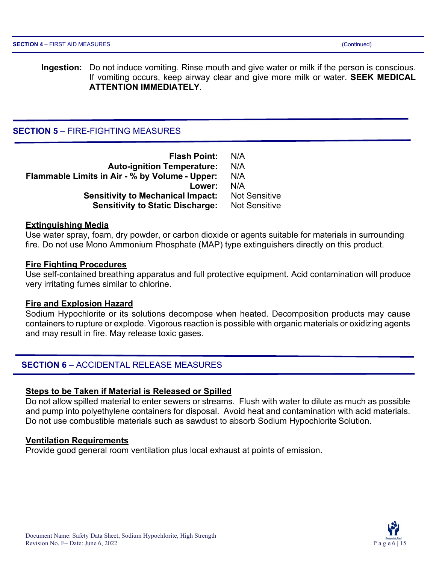**Ingestion:** Do not induce vomiting. Rinse mouth and give water or milk if the person is conscious. If vomiting occurs, keep airway clear and give more milk or water. **SEEK MEDICAL ATTENTION IMMEDIATELY**.

#### **SECTION 5** – FIRE-FIGHTING MEASURES

| <b>Flash Point:</b>                            | N/A                  |
|------------------------------------------------|----------------------|
| <b>Auto-ignition Temperature:</b>              | N/A                  |
| Flammable Limits in Air - % by Volume - Upper: | N/A                  |
| Lower:                                         | N/A                  |
| <b>Sensitivity to Mechanical Impact:</b>       | <b>Not Sensitive</b> |
| <b>Sensitivity to Static Discharge:</b>        | <b>Not Sensitive</b> |

#### **Extinguishing Media**

Use water spray, foam, dry powder, or carbon dioxide or agents suitable for materials in surrounding fire. Do not use Mono Ammonium Phosphate (MAP) type extinguishers directly on this product.

#### **Fire Fighting Procedures**

Use self-contained breathing apparatus and full protective equipment. Acid contamination will produce very irritating fumes similar to chlorine.

#### **Fire and Explosion Hazard**

Sodium Hypochlorite or its solutions decompose when heated. Decomposition products may cause containers to rupture or explode. Vigorous reaction is possible with organic materials or oxidizing agents and may result in fire. May release toxic gases.

#### **SECTION 6** – ACCIDENTAL RELEASE MEASURES

#### **Steps to be Taken if Material is Released or Spilled**

Do not allow spilled material to enter sewers or streams. Flush with water to dilute as much as possible and pump into polyethylene containers for disposal. Avoid heat and contamination with acid materials. Do not use combustible materials such as sawdust to absorb Sodium Hypochlorite Solution.

#### **Ventilation Requirements**

Provide good general room ventilation plus local exhaust at points of emission.

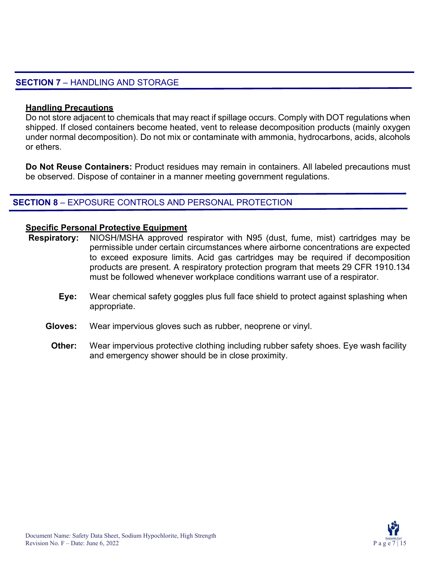#### **SECTION 7** – HANDLING AND STORAGE

#### **Handling Precautions**

Do not store adjacent to chemicals that may react if spillage occurs. Comply with DOT regulations when shipped. If closed containers become heated, vent to release decomposition products (mainly oxygen under normal decomposition). Do not mix or contaminate with ammonia, hydrocarbons, acids, alcohols or ethers.

**Do Not Reuse Containers:** Product residues may remain in containers. All labeled precautions must be observed. Dispose of container in a manner meeting government regulations.

#### **SECTION 8** – EXPOSURE CONTROLS AND PERSONAL PROTECTION

#### **Specific Personal Protective Equipment**

- **Respiratory:** NIOSH/MSHA approved respirator with N95 (dust, fume, mist) cartridges may be permissible under certain circumstances where airborne concentrations are expected to exceed exposure limits. Acid gas cartridges may be required if decomposition products are present. A respiratory protection program that meets 29 CFR 1910.134 must be followed whenever workplace conditions warrant use of a respirator.
	- **Eye:** Wear chemical safety goggles plus full face shield to protect against splashing when appropriate.
	- **Gloves:** Wear impervious gloves such as rubber, neoprene or vinyl.
		- **Other:** Wear impervious protective clothing including rubber safety shoes. Eye wash facility and emergency shower should be in close proximity.

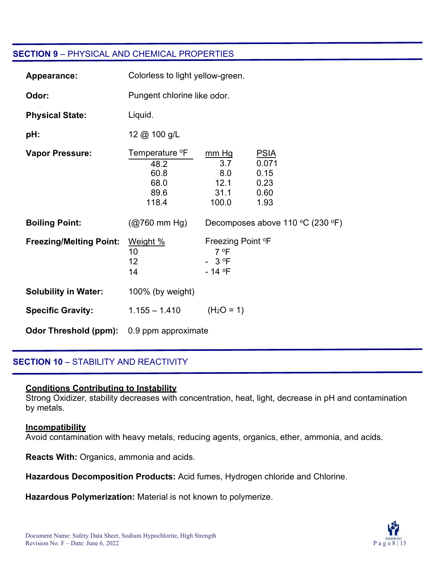#### **SECTION 9** – PHYSICAL AND CHEMICAL PROPERTIES

| Appearance:                    | Colorless to light yellow-green.                                    |                                                             |                                                      |
|--------------------------------|---------------------------------------------------------------------|-------------------------------------------------------------|------------------------------------------------------|
| Odor:                          | Pungent chlorine like odor.                                         |                                                             |                                                      |
| <b>Physical State:</b>         | Liquid.                                                             |                                                             |                                                      |
| pH:                            | 12 @ 100 g/L                                                        |                                                             |                                                      |
| <b>Vapor Pressure:</b>         | Temperature <sup>o</sup> F<br>48.2<br>60.8<br>68.0<br>89.6<br>118.4 | mm Hg<br>3.7<br>8.0<br>12.1<br>31.1<br>100.0                | <b>PSIA</b><br>0.071<br>0.15<br>0.23<br>0.60<br>1.93 |
| <b>Boiling Point:</b>          | $(Q760 \text{ mm Hg})$                                              |                                                             | Decomposes above 110 °C (230 °F)                     |
| <b>Freezing/Melting Point:</b> | Weight %<br>10<br>12<br>14                                          | Freezing Point °F<br>7°F<br>$-3$ <sup>o</sup> F<br>$-14$ °F |                                                      |
| <b>Solubility in Water:</b>    | 100% (by weight)                                                    |                                                             |                                                      |
| <b>Specific Gravity:</b>       | $1.155 - 1.410$                                                     | $(H2O = 1)$                                                 |                                                      |
| <b>Odor Threshold (ppm):</b>   | 0.9 ppm approximate                                                 |                                                             |                                                      |

#### **SECTION 10** – STABILITY AND REACTIVITY

#### **Conditions Contributing to Instability**

Strong Oxidizer, stability decreases with concentration, heat, light, decrease in pH and contamination by metals.

#### **Incompatibility**

Avoid contamination with heavy metals, reducing agents, organics, ether, ammonia, and acids.

**Reacts With:** Organics, ammonia and acids.

**Hazardous Decomposition Products:** Acid fumes, Hydrogen chloride and Chlorine.

**Hazardous Polymerization:** Material is not known to polymerize.

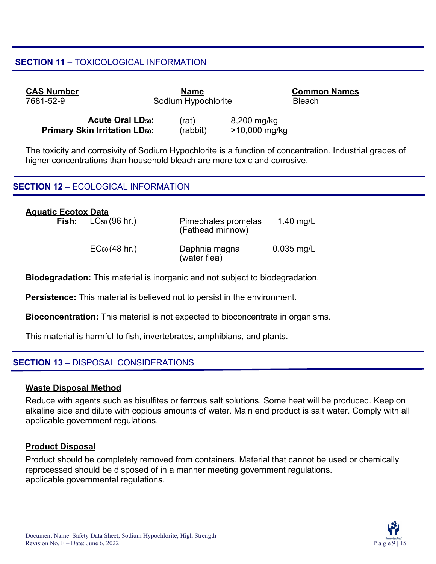#### **SECTION 11** – TOXICOLOGICAL INFORMATION

| <b>CAS Number</b> | <b>Name</b>                        |       | <b>Common Names</b> |  |
|-------------------|------------------------------------|-------|---------------------|--|
| 7681-52-9         | Sodium Hypochlorite                |       | <b>Bleach</b>       |  |
|                   | <b>Acute Oral LD<sub>50</sub>:</b> | (rat) | 8,200 mg/kg         |  |

**Primary Skin Irritation LD<sub>50</sub>:** (rabbit) >10,000 mg/kg

The toxicity and corrosivity of Sodium Hypochlorite is a function of concentration. Industrial grades of higher concentrations than household bleach are more toxic and corrosive.

#### **SECTION 12** – ECOLOGICAL INFORMATION

| <b>Aguatic Ecotox Data</b> | <b>Fish:</b> $LC_{50}$ (96 hr.) | Pimephales promelas<br>(Fathead minnow) | 1.40 mg/L    |
|----------------------------|---------------------------------|-----------------------------------------|--------------|
|                            | $EC_{50}(48 \text{ hr.})$       | Daphnia magna<br>(water flea)           | $0.035$ mg/L |

**Biodegradation:** This material is inorganic and not subject to biodegradation.

**Persistence:** This material is believed not to persist in the environment.

**Bioconcentration:** This material is not expected to bioconcentrate in organisms.

This material is harmful to fish, invertebrates, amphibians, and plants.

#### **SECTION 13** – DISPOSAL CONSIDERATIONS

#### **Waste Disposal Method**

Reduce with agents such as bisulfites or ferrous salt solutions. Some heat will be produced. Keep on alkaline side and dilute with copious amounts of water. Main end product is salt water. Comply with all applicable government regulations.

#### **Product Disposal**

Product should be completely removed from containers. Material that cannot be used or chemically reprocessed should be disposed of in a manner meeting government regulations. applicable governmental regulations.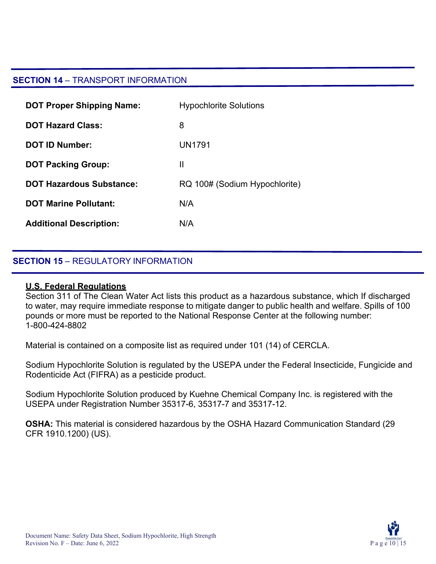#### **SECTION 14** – TRANSPORT INFORMATION

| <b>DOT Proper Shipping Name:</b> | <b>Hypochlorite Solutions</b> |
|----------------------------------|-------------------------------|
| <b>DOT Hazard Class:</b>         | 8                             |
| <b>DOT ID Number:</b>            | UN1791                        |
| <b>DOT Packing Group:</b>        | Ш                             |
| <b>DOT Hazardous Substance:</b>  | RQ 100# (Sodium Hypochlorite) |
| <b>DOT Marine Pollutant:</b>     | N/A                           |
| <b>Additional Description:</b>   | N/A                           |

#### **SECTION 15** – REGULATORY INFORMATION

#### **U.S. Federal Regulations**

Section 311 of The Clean Water Act lists this product as a hazardous substance, which If discharged to water, may require immediate response to mitigate danger to public health and welfare. Spills of 100 pounds or more must be reported to the National Response Center at the following number: 1-800-424-8802

Material is contained on a composite list as required under 101 (14) of CERCLA.

Sodium Hypochlorite Solution is regulated by the USEPA under the Federal Insecticide, Fungicide and Rodenticide Act (FIFRA) as a pesticide product.

Sodium Hypochlorite Solution produced by Kuehne Chemical Company Inc. is registered with the USEPA under Registration Number 35317-6, 35317-7 and 35317-12.

**OSHA:** This material is considered hazardous by the OSHA Hazard Communication Standard (29 CFR 1910.1200) (US).

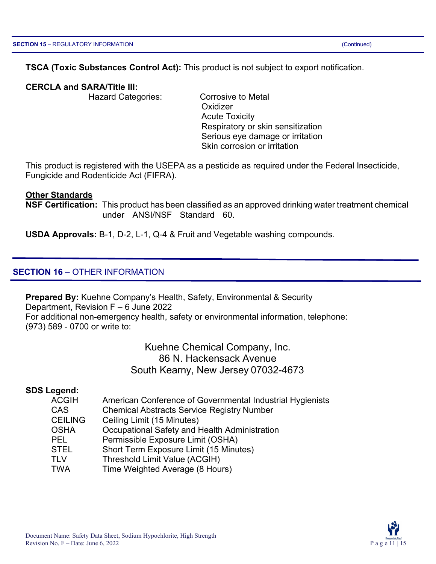#### **TSCA (Toxic Substances Control Act):** This product is not subject to export notification.

#### **CERCLA and SARA/Title III:**

Hazard Categories: Corrosive to Metal

**Oxidizer** Acute Toxicity Respiratory or skin sensitization Serious eye damage or irritation Skin corrosion or irritation

This product is registered with the USEPA as a pesticide as required under the Federal Insecticide, Fungicide and Rodenticide Act (FIFRA).

#### **Other Standards**

**NSF Certification:** This product has been classified as an approved drinking water treatment chemical under ANSI/NSF Standard 60.

**USDA Approvals:** B-1, D-2, L-1, Q-4 & Fruit and Vegetable washing compounds.

#### **SECTION 16** – OTHER INFORMATION

**Prepared By:** Kuehne Company's Health, Safety, Environmental & Security Department, Revision F – 6 June 2022 For additional non-emergency health, safety or environmental information, telephone: (973) 589 - 0700 or write to:

> Kuehne Chemical Company, Inc. 86 N. Hackensack Avenue South Kearny, New Jersey 07032-4673

#### **SDS Legend:**

| <b>ACGIH</b>   | American Conference of Governmental Industrial Hygienists |
|----------------|-----------------------------------------------------------|
| <b>CAS</b>     | <b>Chemical Abstracts Service Registry Number</b>         |
| <b>CEILING</b> | Ceiling Limit (15 Minutes)                                |
| <b>OSHA</b>    | Occupational Safety and Health Administration             |
| <b>PEL</b>     | Permissible Exposure Limit (OSHA)                         |
| <b>STEL</b>    | Short Term Exposure Limit (15 Minutes)                    |
| <b>TLV</b>     | Threshold Limit Value (ACGIH)                             |
| <b>TWA</b>     | Time Weighted Average (8 Hours)                           |

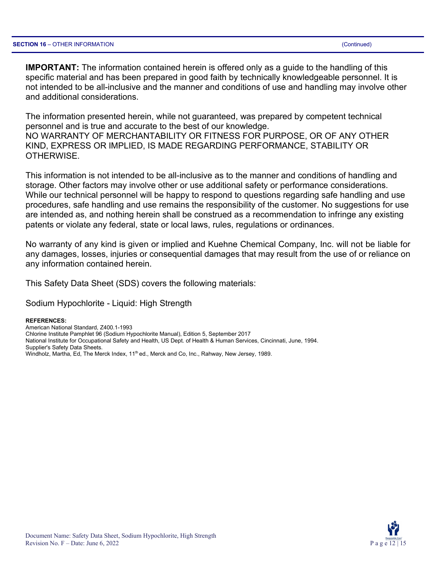**IMPORTANT:** The information contained herein is offered only as a guide to the handling of this specific material and has been prepared in good faith by technically knowledgeable personnel. It is not intended to be all-inclusive and the manner and conditions of use and handling may involve other and additional considerations.

The information presented herein, while not guaranteed, was prepared by competent technical personnel and is true and accurate to the best of our knowledge. NO WARRANTY OF MERCHANTABILITY OR FITNESS FOR PURPOSE, OR OF ANY OTHER KIND, EXPRESS OR IMPLIED, IS MADE REGARDING PERFORMANCE, STABILITY OR OTHERWISE.

This information is not intended to be all-inclusive as to the manner and conditions of handling and storage. Other factors may involve other or use additional safety or performance considerations. While our technical personnel will be happy to respond to questions regarding safe handling and use procedures, safe handling and use remains the responsibility of the customer. No suggestions for use are intended as, and nothing herein shall be construed as a recommendation to infringe any existing patents or violate any federal, state or local laws, rules, regulations or ordinances.

No warranty of any kind is given or implied and Kuehne Chemical Company, Inc. will not be liable for any damages, losses, injuries or consequential damages that may result from the use of or reliance on any information contained herein.

This Safety Data Sheet (SDS) covers the following materials:

Sodium Hypochlorite - Liquid: High Strength

**REFERENCES:** American National Standard, Z400.1-1993 Chlorine Institute Pamphlet 96 (Sodium Hypochlorite Manual), Edition 5, September 2017 National Institute for Occupational Safety and Health, US Dept. of Health & Human Services, Cincinnati, June, 1994. Supplier's Safety Data Sheets. Windholz, Martha, Ed, The Merck Index, 11<sup>th</sup> ed., Merck and Co, Inc., Rahway, New Jersey, 1989.

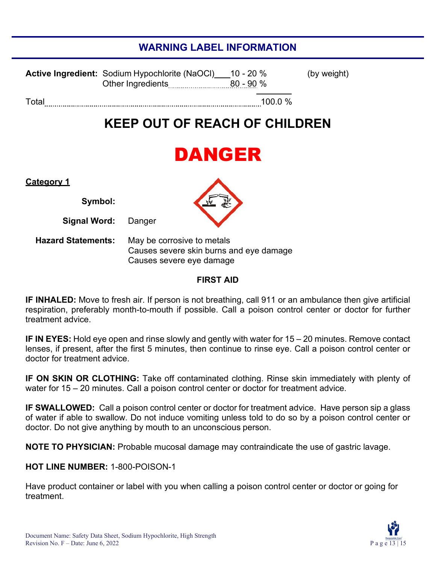# **WARNING LABEL INFORMATION**

|       | <b>Active Ingredient:</b> Sodium Hypochlorite (NaOCI) 10 - 20 %<br>Other Ingredients 20 - 90 % |         | (by weight) |
|-------|------------------------------------------------------------------------------------------------|---------|-------------|
| Total |                                                                                                | 100.0 % |             |

# **KEEP OUT OF REACH OF CHILDREN**

# DANGER

| <u>Category 1</u>          |  |
|----------------------------|--|
| Symbol:                    |  |
| <b>Signal Word:</b> Danger |  |

**Hazard Statements:** May be corrosive to metals Causes severe skin burns and eye damage Causes severe eye damage

#### **FIRST AID**

**IF INHALED:** Move to fresh air. If person is not breathing, call 911 or an ambulance then give artificial respiration, preferably month-to-mouth if possible. Call a poison control center or doctor for further treatment advice.

**IF IN EYES:** Hold eye open and rinse slowly and gently with water for 15 – 20 minutes. Remove contact lenses, if present, after the first 5 minutes, then continue to rinse eye. Call a poison control center or doctor for treatment advice.

**IF ON SKIN OR CLOTHING:** Take off contaminated clothing. Rinse skin immediately with plenty of water for 15 – 20 minutes. Call a poison control center or doctor for treatment advice.

**IF SWALLOWED:** Call a poison control center or doctor for treatment advice. Have person sip a glass of water if able to swallow. Do not induce vomiting unless told to do so by a poison control center or doctor. Do not give anything by mouth to an unconscious person.

**NOTE TO PHYSICIAN:** Probable mucosal damage may contraindicate the use of gastric lavage.

#### **HOT LINE NUMBER:** 1-800-POISON-1

Have product container or label with you when calling a poison control center or doctor or going for treatment.

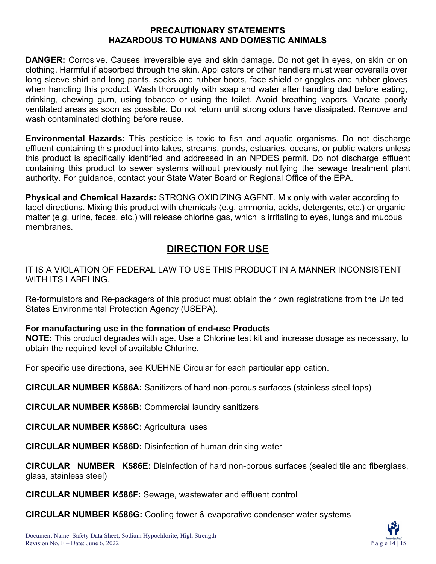#### **PRECAUTIONARY STATEMENTS HAZARDOUS TO HUMANS AND DOMESTIC ANIMALS**

**DANGER:** Corrosive. Causes irreversible eye and skin damage. Do not get in eyes, on skin or on clothing. Harmful if absorbed through the skin. Applicators or other handlers must wear coveralls over long sleeve shirt and long pants, socks and rubber boots, face shield or goggles and rubber gloves when handling this product. Wash thoroughly with soap and water after handling dad before eating, drinking, chewing gum, using tobacco or using the toilet. Avoid breathing vapors. Vacate poorly ventilated areas as soon as possible. Do not return until strong odors have dissipated. Remove and wash contaminated clothing before reuse.

**Environmental Hazards:** This pesticide is toxic to fish and aquatic organisms. Do not discharge effluent containing this product into lakes, streams, ponds, estuaries, oceans, or public waters unless this product is specifically identified and addressed in an NPDES permit. Do not discharge effluent containing this product to sewer systems without previously notifying the sewage treatment plant authority. For guidance, contact your State Water Board or Regional Office of the EPA.

**Physical and Chemical Hazards:** STRONG OXIDIZING AGENT. Mix only with water according to label directions. Mixing this product with chemicals (e.g. ammonia, acids, detergents, etc.) or organic matter (e.g. urine, feces, etc.) will release chlorine gas, which is irritating to eyes, lungs and mucous membranes.

# **DIRECTION FOR USE**

IT IS A VIOLATION OF FEDERAL LAW TO USE THIS PRODUCT IN A MANNER INCONSISTENT WITH ITS LABELING.

Re-formulators and Re-packagers of this product must obtain their own registrations from the United States Environmental Protection Agency (USEPA).

#### **For manufacturing use in the formation of end-use Products**

**NOTE:** This product degrades with age. Use a Chlorine test kit and increase dosage as necessary, to obtain the required level of available Chlorine.

For specific use directions, see KUEHNE Circular for each particular application.

**CIRCULAR NUMBER K586A:** Sanitizers of hard non-porous surfaces (stainless steel tops)

**CIRCULAR NUMBER K586B:** Commercial laundry sanitizers

**CIRCULAR NUMBER K586C:** Agricultural uses

**CIRCULAR NUMBER K586D:** Disinfection of human drinking water

**CIRCULAR NUMBER K586E:** Disinfection of hard non-porous surfaces (sealed tile and fiberglass, glass, stainless steel)

**CIRCULAR NUMBER K586F:** Sewage, wastewater and effluent control

**CIRCULAR NUMBER K586G:** Cooling tower & evaporative condenser water systems